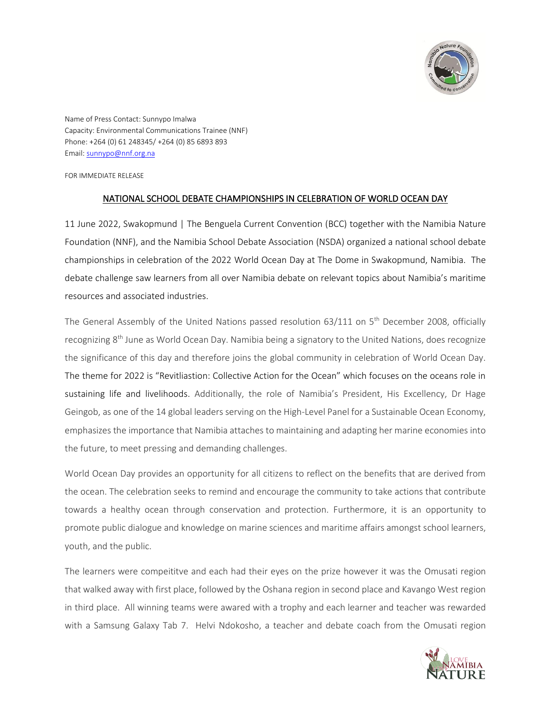

Name of Press Contact: Sunnypo Imalwa Capacity: Environmental Communications Trainee (NNF) Phone: +264 (0) 61 248345/ +264 (0) 85 6893 893 Email[: sunnypo@nnf.org.na](mailto:sunnypo@nnf.org.na)

FOR IMMEDIATE RELEASE

## NATIONAL SCHOOL DEBATE CHAMPIONSHIPS IN CELEBRATION OF WORLD OCEAN DAY

11 June 2022, Swakopmund | The Benguela Current Convention (BCC) together with the Namibia Nature Foundation (NNF), and the Namibia School Debate Association (NSDA) organized a national school debate championships in celebration of the 2022 World Ocean Day at The Dome in Swakopmund, Namibia. The debate challenge saw learners from all over Namibia debate on relevant topics about Namibia's maritime resources and associated industries.

The General Assembly of the United Nations passed resolution [63/111](http://undocs.org/A/RES/63/111) on 5<sup>th</sup> December 2008, officially recognizing 8<sup>th</sup> June as World Ocean Day. Namibia being a signatory to the United Nations, does recognize the significance of this day and therefore joins the global community in celebration of World Ocean Day. The theme for 2022 is "Revitliastion: Collective Action for the Ocean" which focuses on the oceans role in sustaining life and livelihoods. Additionally, the role of Namibia's President, His Excellency, Dr Hage Geingob, as one of the 14 global leaders serving on the High-Level Panel for a Sustainable Ocean Economy, emphasizes the importance that Namibia attaches to maintaining and adapting her marine economies into the future, to meet pressing and demanding challenges.

World Ocean Day provides an opportunity for all citizens to reflect on the benefits that are derived from the ocean. The celebration seeks to remind and encourage the community to take actions that contribute towards a healthy ocean through conservation and protection. Furthermore, it is an opportunity to promote public dialogue and knowledge on marine sciences and maritime affairs amongst school learners, youth, and the public.

The learners were compeititve and each had their eyes on the prize however it was the Omusati region that walked away with first place, followed by the Oshana region in second place and Kavango West region in third place. All winning teams were awared with a trophy and each learner and teacher was rewarded with a Samsung Galaxy Tab 7. Helvi Ndokosho, a teacher and debate coach from the Omusati region